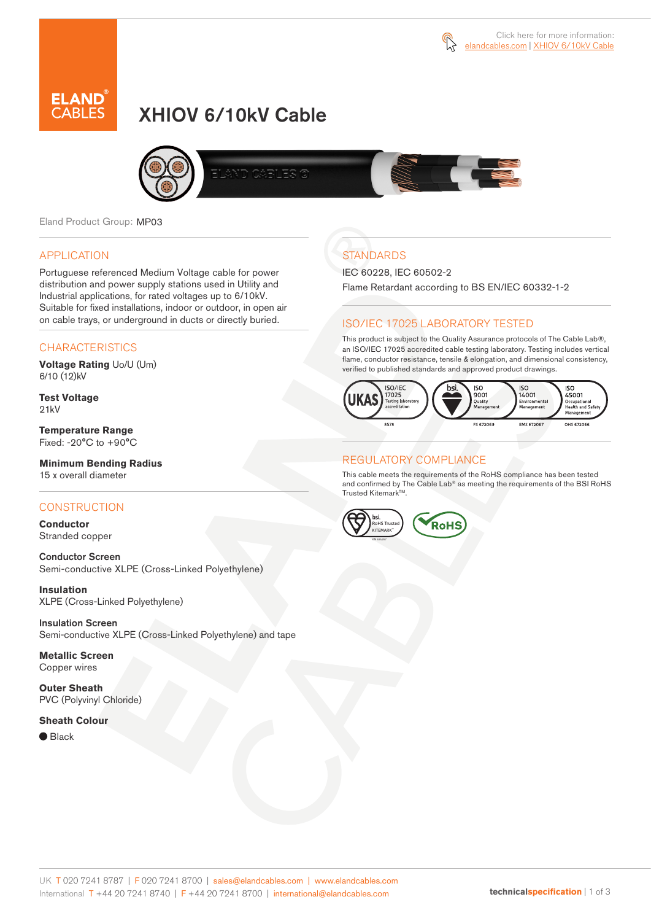

# XHIOV 6/10kV Cable



Eland Product Group: MP03

### APPLICATION

Portuguese referenced Medium Voltage cable for power distribution and power supply stations used in Utility and Industrial applications, for rated voltages up to 6/10kV. Suitable for fixed installations, indoor or outdoor, in open air on cable trays, or underground in ducts or directly buried.

### **CHARACTERISTICS**

**Voltage Rating** Uo/U (Um) 6/10 (12)kV

**Test Voltage** 21kV

**Temperature Range** Fixed: -20°C to +90°C

#### **Minimum Bending Radius** 15 x overall diameter

### **CONSTRUCTION**

**Conductor** Stranded copper

Conductor Screen Semi-conductive XLPE (Cross-Linked Polyethylene)

**Insulation** XLPE (Cross-Linked Polyethylene)

Insulation Screen Semi-conductive XLPE (Cross-Linked Polyethylene) and tape

**Metallic Screen** Copper wires

**Outer Sheath** PVC (Polyvinyl Chloride)

### **Sheath Colour**

● Black

# **STANDARDS**

IEC 60228, IEC 60502-2

Flame Retardant according to BS EN/IEC 60332-1-2

### ISO/IEC 17025 LABORATORY TESTED

This product is subject to the Quality Assurance protocols of The Cable Lab®, an ISO/IEC 17025 accredited cable testing laboratory. Testing includes vertical flame, conductor resistance, tensile & elongation, and dimensional consistency, verified to published standards and approved product drawings.



### REGULATORY COMPLIANCE

This cable meets the requirements of the RoHS compliance has been tested and confirmed by The Cable Lab® as meeting the requirements of the BSI RoHS Trusted Kitemark™.

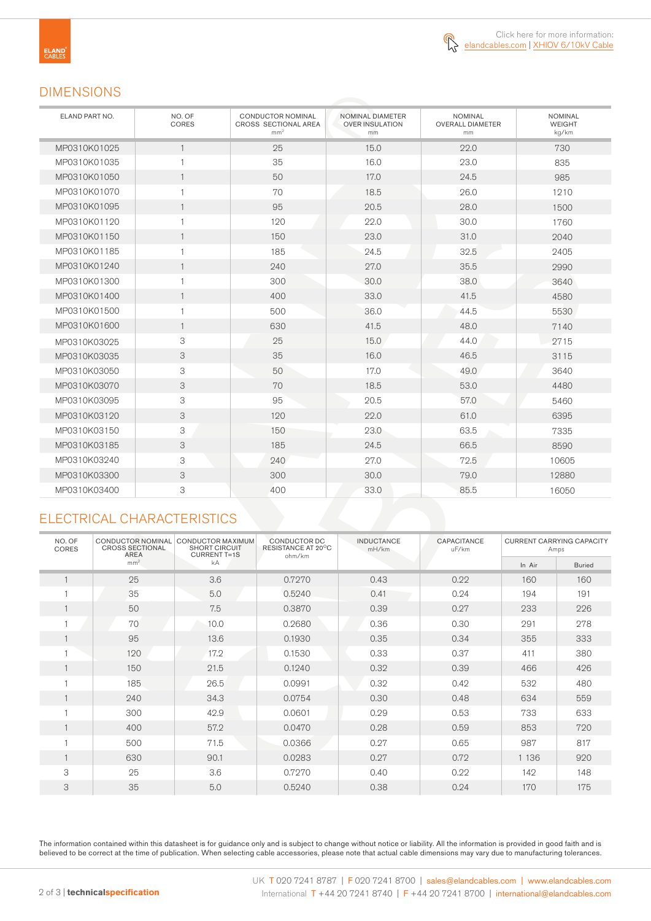

### DIMENSIONS

| ELAND PART NO. | NO. OF<br>CORES | <b>CONDUCTOR NOMINAL</b><br>CROSS SECTIONAL AREA<br>mm <sup>2</sup> | NOMINAL DIAMETER<br><b>OVER INSULATION</b><br>mm | <b>NOMINAL</b><br><b>OVERALL DIAMETER</b><br>mm | <b>NOMINAL</b><br>WEIGHT<br>kg/km |
|----------------|-----------------|---------------------------------------------------------------------|--------------------------------------------------|-------------------------------------------------|-----------------------------------|
| MP0310K01025   | $\mathbf{1}$    | 25                                                                  | 15.0                                             | 22.0                                            | 730                               |
| MP0310K01035   | $\mathbf{1}$    | 35                                                                  | 16.0                                             | 23.0                                            | 835                               |
| MP0310K01050   | $\mathbf{1}$    | 50                                                                  | 17.0                                             | 24.5                                            | 985                               |
| MP0310K01070   | $\mathbf{1}$    | 70                                                                  | 18.5                                             | 26.0                                            | 1210                              |
| MP0310K01095   | $\mathbf{1}$    | 95                                                                  | 20.5                                             | 28.0                                            | 1500                              |
| MP0310K01120   | $\mathbf{1}$    | 120                                                                 | 22.0                                             | 30.0                                            | 1760                              |
| MP0310K01150   | $\mathbf{1}$    | 150                                                                 | 23.0                                             | 31.0                                            | 2040                              |
| MP0310K01185   | $\mathbf{1}$    | 185                                                                 | 24.5                                             | 32.5                                            | 2405                              |
| MP0310K01240   | $\mathbf{1}$    | 240                                                                 | 27.0                                             | 35.5                                            | 2990                              |
| MP0310K01300   | $\mathbf{1}$    | 300                                                                 | 30.0                                             | 38.0                                            | 3640                              |
| MP0310K01400   | $\mathbf{1}$    | 400                                                                 | 33.0                                             | 41.5                                            | 4580                              |
| MP0310K01500   | $\mathbf{1}$    | 500                                                                 | 36.0                                             | 44.5                                            | 5530                              |
| MP0310K01600   | $\mathbf{1}$    | 630                                                                 | 41.5                                             | 48.0                                            | 7140                              |
| MP0310K03025   | 3               | 25                                                                  | 15.0                                             | 44.0                                            | 2715                              |
| MP0310K03035   | 3               | 35                                                                  | 16.0                                             | 46.5                                            | 3115                              |
| MP0310K03050   | 3               | 50                                                                  | 17.0                                             | 49.0                                            | 3640                              |
| MP0310K03070   | 3               | 70                                                                  | 18.5                                             | 53.0                                            | 4480                              |
| MP0310K03095   | 3               | 95                                                                  | 20.5                                             | 57.0                                            | 5460                              |
| MP0310K03120   | 3               | 120                                                                 | 22.0                                             | 61.0                                            | 6395                              |
| MP0310K03150   | 3               | 150                                                                 | 23.0                                             | 63.5                                            | 7335                              |
| MP0310K03185   | 3               | 185                                                                 | 24.5                                             | 66.5                                            | 8590                              |
| MP0310K03240   | 3               | 240                                                                 | 27.0                                             | 72.5                                            | 10605                             |
| MP0310K03300   | 3               | 300                                                                 | 30.0                                             | 79.0                                            | 12880                             |
| MP0310K03400   | 3               | 400                                                                 | 33.0                                             | 85.5                                            | 16050                             |

# ELECTRICAL CHARACTERISTICS

| NO. OF<br><b>CORES</b> | <b>CONDUCTOR NOMINAL</b><br><b>CROSS SECTIONAL</b><br>AREA | <b>CONDUCTOR MAXIMUM</b><br><b>SHORT CIRCUIT</b><br><b>CURRENT T=1S</b> | CONDUCTOR DC<br>RESISTANCE AT 20°C<br>ohm/km | <b>INDUCTANCE</b><br>mH/km | CAPACITANCE<br>uF/km | <b>CURRENT CARRYING CAPACITY</b><br>Amps |               |
|------------------------|------------------------------------------------------------|-------------------------------------------------------------------------|----------------------------------------------|----------------------------|----------------------|------------------------------------------|---------------|
|                        | mm <sup>2</sup>                                            | kA                                                                      |                                              |                            |                      | In Air                                   | <b>Buried</b> |
| $\mathbf{1}$           | 25                                                         | 3.6                                                                     | 0.7270                                       | 0.43                       | 0.22                 | 160                                      | 160           |
|                        | 35                                                         | 5.0                                                                     | 0.5240                                       | 0.41                       | 0.24                 | 194                                      | 191           |
| 1                      | 50                                                         | 7.5                                                                     | 0.3870                                       | 0.39                       | 0.27                 | 233                                      | 226           |
|                        | 70                                                         | 10.0                                                                    | 0.2680                                       | 0.36                       | 0.30                 | 291                                      | 278           |
| $\mathbf{1}$           | 95                                                         | 13.6                                                                    | 0.1930                                       | 0.35                       | 0.34                 | 355                                      | 333           |
|                        | 120                                                        | 17.2                                                                    | 0.1530                                       | 0.33                       | 0.37                 | 411                                      | 380           |
| $\mathbf{1}$           | 150                                                        | 21.5                                                                    | 0.1240                                       | 0.32                       | 0.39                 | 466                                      | 426           |
| H                      | 185                                                        | 26.5                                                                    | 0.0991                                       | 0.32                       | 0.42                 | 532                                      | 480           |
| $\mathbf{1}$           | 240                                                        | 34.3                                                                    | 0.0754                                       | 0.30                       | 0.48                 | 634                                      | 559           |
|                        | 300                                                        | 42.9                                                                    | 0.0601                                       | 0.29                       | 0.53                 | 733                                      | 633           |
| $\mathbf{1}$           | 400                                                        | 57.2                                                                    | 0.0470                                       | 0.28                       | 0.59                 | 853                                      | 720           |
| 1                      | 500                                                        | 71.5                                                                    | 0.0366                                       | 0.27                       | 0.65                 | 987                                      | 817           |
| $\mathbf{1}$           | 630                                                        | 90.1                                                                    | 0.0283                                       | 0.27                       | 0.72                 | 1 1 3 6                                  | 920           |
| 3                      | 25                                                         | 3.6                                                                     | 0.7270                                       | 0.40                       | 0.22                 | 142                                      | 148           |
| 3                      | 35                                                         | 5.0                                                                     | 0.5240                                       | 0.38                       | 0.24                 | 170                                      | 175           |

The information contained within this datasheet is for guidance only and is subject to change without notice or liability. All the information is provided in good faith and is believed to be correct at the time of publication. When selecting cable accessories, please note that actual cable dimensions may vary due to manufacturing tolerances.